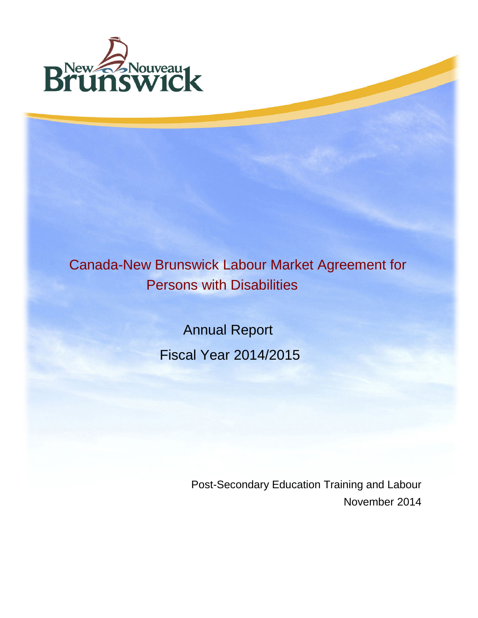

# Canada-New Brunswick Labour Market Agreement for Persons with Disabilities

 Annual Report Fiscal Year 2014/2015

> Post-Secondary Education Training and Labour November 2014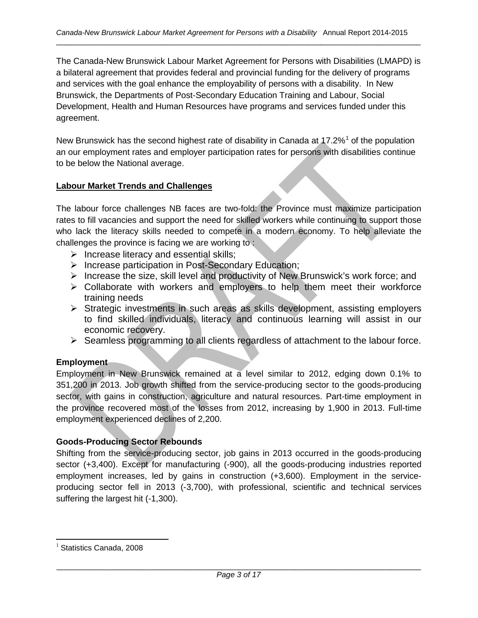The Canada-New Brunswick Labour Market Agreement for Persons with Disabilities (LMAPD) is a bilateral agreement that provides federal and provincial funding for the delivery of programs and services with the goal enhance the employability of persons with a disability. In New Brunswick, the Departments of Post-Secondary Education Training and Labour, Social Development, Health and Human Resources have programs and services funded under this agreement.

New Brunswick has the second highest rate of disability in Canada at  $17.2\%$  $17.2\%$ <sup>1</sup> of the population an our employment rates and employer participation rates for persons with disabilities continue to be below the National average.

# **Labour Market Trends and Challenges**

The labour force challenges NB faces are two-fold: the Province must maximize participation rates to fill vacancies and support the need for skilled workers while continuing to support those who lack the literacy skills needed to compete in a modern economy. To help alleviate the challenges the province is facing we are working to :

- $\triangleright$  Increase literacy and essential skills;
- ▶ Increase participation in Post-Secondary Education;
- $\triangleright$  Increase the size, skill level and productivity of New Brunswick's work force; and
- $\triangleright$  Collaborate with workers and employers to help them meet their workforce training needs
- Strategic investments in such areas as skills development, assisting employers to find skilled individuals, literacy and continuous learning will assist in our economic recovery.
- $\triangleright$  Seamless programming to all clients regardless of attachment to the labour force.

# **Employment**

Employment in New Brunswick remained at a level similar to 2012, edging down 0.1% to 351,200 in 2013. Job growth shifted from the service-producing sector to the goods-producing sector, with gains in construction, agriculture and natural resources. Part-time employment in the province recovered most of the losses from 2012, increasing by 1,900 in 2013. Full-time employment experienced declines of 2,200.

# **Goods-Producing Sector Rebounds**

Shifting from the service-producing sector, job gains in 2013 occurred in the goods-producing sector (+3,400). Except for manufacturing (-900), all the goods-producing industries reported employment increases, led by gains in construction (+3,600). Employment in the serviceproducing sector fell in 2013 (-3,700), with professional, scientific and technical services suffering the largest hit (-1,300).

<span id="page-1-0"></span> $1$  Statistics Canada, 2008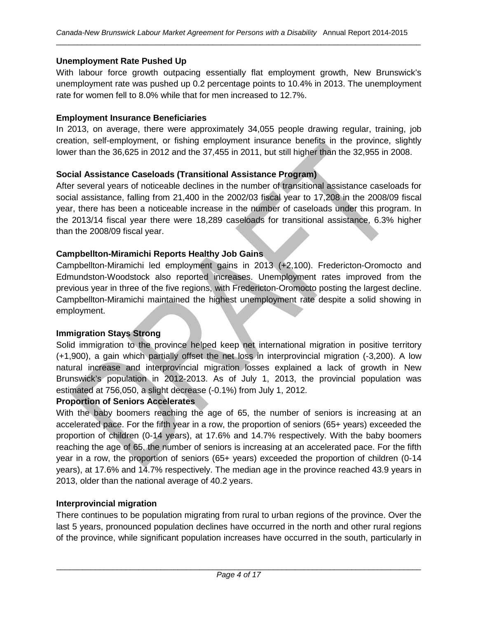## **Unemployment Rate Pushed Up**

With labour force growth outpacing essentially flat employment growth, New Brunswick's unemployment rate was pushed up 0.2 percentage points to 10.4% in 2013. The unemployment rate for women fell to 8.0% while that for men increased to 12.7%.

## **Employment Insurance Beneficiaries**

In 2013, on average, there were approximately 34,055 people drawing regular, training, job creation, self-employment, or fishing employment insurance benefits in the province, slightly lower than the 36,625 in 2012 and the 37,455 in 2011, but still higher than the 32,955 in 2008.

## **Social Assistance Caseloads (Transitional Assistance Program)**

After several years of noticeable declines in the number of transitional assistance caseloads for social assistance, falling from 21,400 in the 2002/03 fiscal year to 17,208 in the 2008/09 fiscal year, there has been a noticeable increase in the number of caseloads under this program. In the 2013/14 fiscal year there were 18,289 caseloads for transitional assistance, 6.3% higher than the 2008/09 fiscal year.

## **Campbellton-Miramichi Reports Healthy Job Gains**

Campbellton-Miramichi led employment gains in 2013 (+2,100). Fredericton-Oromocto and Edmundston-Woodstock also reported increases. Unemployment rates improved from the previous year in three of the five regions, with Fredericton-Oromocto posting the largest decline. Campbellton-Miramichi maintained the highest unemployment rate despite a solid showing in employment.

# **Immigration Stays Strong**

Solid immigration to the province helped keep net international migration in positive territory (+1,900), a gain which partially offset the net loss in interprovincial migration (-3,200). A low natural increase and interprovincial migration losses explained a lack of growth in New Brunswick's population in 2012-2013. As of July 1, 2013, the provincial population was estimated at 756,050, a slight decrease (-0.1%) from July 1, 2012.

## **Proportion of Seniors Accelerates**

With the baby boomers reaching the age of 65, the number of seniors is increasing at an accelerated pace. For the fifth year in a row, the proportion of seniors (65+ years) exceeded the proportion of children (0-14 years), at 17.6% and 14.7% respectively. With the baby boomers reaching the age of 65, the number of seniors is increasing at an accelerated pace. For the fifth year in a row, the proportion of seniors (65+ years) exceeded the proportion of children (0-14 years), at 17.6% and 14.7% respectively. The median age in the province reached 43.9 years in 2013, older than the national average of 40.2 years.

## **Interprovincial migration**

There continues to be population migrating from rural to urban regions of the province. Over the last 5 years, pronounced population declines have occurred in the north and other rural regions of the province, while significant population increases have occurred in the south, particularly in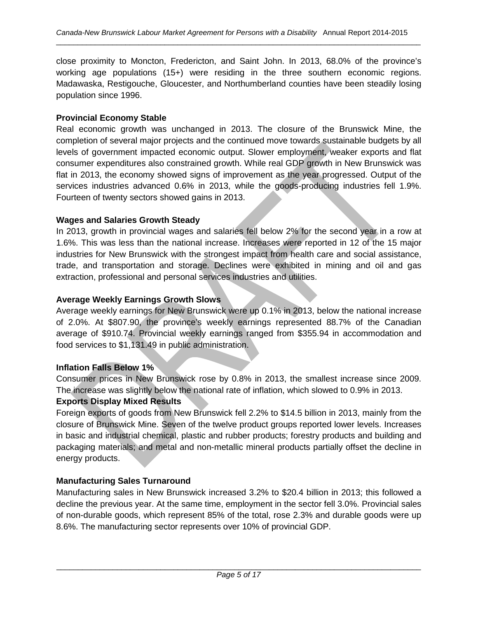close proximity to Moncton, Fredericton, and Saint John. In 2013, 68.0% of the province's working age populations (15+) were residing in the three southern economic regions. Madawaska, Restigouche, Gloucester, and Northumberland counties have been steadily losing population since 1996.

## **Provincial Economy Stable**

Real economic growth was unchanged in 2013. The closure of the Brunswick Mine, the completion of several major projects and the continued move towards sustainable budgets by all levels of government impacted economic output. Slower employment, weaker exports and flat consumer expenditures also constrained growth. While real GDP growth in New Brunswick was flat in 2013, the economy showed signs of improvement as the year progressed. Output of the services industries advanced 0.6% in 2013, while the goods-producing industries fell 1.9%. Fourteen of twenty sectors showed gains in 2013.

## **Wages and Salaries Growth Steady**

In 2013, growth in provincial wages and salaries fell below 2% for the second year in a row at 1.6%. This was less than the national increase. Increases were reported in 12 of the 15 major industries for New Brunswick with the strongest impact from health care and social assistance, trade, and transportation and storage. Declines were exhibited in mining and oil and gas extraction, professional and personal services industries and utilities.

## **Average Weekly Earnings Growth Slows**

Average weekly earnings for New Brunswick were up 0.1% in 2013, below the national increase of 2.0%. At \$807.90, the province's weekly earnings represented 88.7% of the Canadian average of \$910.74. Provincial weekly earnings ranged from \$355.94 in accommodation and food services to \$1,131.49 in public administration.

# **Inflation Falls Below 1%**

Consumer prices in New Brunswick rose by 0.8% in 2013, the smallest increase since 2009. The increase was slightly below the national rate of inflation, which slowed to 0.9% in 2013.

## **Exports Display Mixed Results**

Foreign exports of goods from New Brunswick fell 2.2% to \$14.5 billion in 2013, mainly from the closure of Brunswick Mine. Seven of the twelve product groups reported lower levels. Increases in basic and industrial chemical, plastic and rubber products; forestry products and building and packaging materials; and metal and non-metallic mineral products partially offset the decline in energy products.

# **Manufacturing Sales Turnaround**

Manufacturing sales in New Brunswick increased 3.2% to \$20.4 billion in 2013; this followed a decline the previous year. At the same time, employment in the sector fell 3.0%. Provincial sales of non-durable goods, which represent 85% of the total, rose 2.3% and durable goods were up 8.6%. The manufacturing sector represents over 10% of provincial GDP.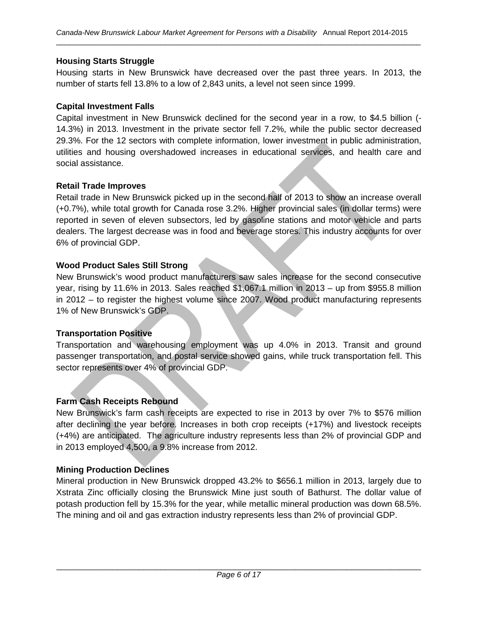## **Housing Starts Struggle**

Housing starts in New Brunswick have decreased over the past three years. In 2013, the number of starts fell 13.8% to a low of 2,843 units, a level not seen since 1999.

#### **Capital Investment Falls**

Capital investment in New Brunswick declined for the second year in a row, to \$4.5 billion (- 14.3%) in 2013. Investment in the private sector fell 7.2%, while the public sector decreased 29.3%. For the 12 sectors with complete information, lower investment in public administration, utilities and housing overshadowed increases in educational services, and health care and social assistance.

#### **Retail Trade Improves**

Retail trade in New Brunswick picked up in the second half of 2013 to show an increase overall (+0.7%), while total growth for Canada rose 3.2%. Higher provincial sales (in dollar terms) were reported in seven of eleven subsectors, led by gasoline stations and motor vehicle and parts dealers. The largest decrease was in food and beverage stores. This industry accounts for over 6% of provincial GDP.

#### **Wood Product Sales Still Strong**

New Brunswick's wood product manufacturers saw sales increase for the second consecutive year, rising by 11.6% in 2013. Sales reached \$1,067.1 million in 2013 – up from \$955.8 million in 2012 – to register the highest volume since 2007. Wood product manufacturing represents 1% of New Brunswick's GDP.

## **Transportation Positive**

Transportation and warehousing employment was up 4.0% in 2013. Transit and ground passenger transportation, and postal service showed gains, while truck transportation fell. This sector represents over 4% of provincial GDP.

## **Farm Cash Receipts Rebound**

New Brunswick's farm cash receipts are expected to rise in 2013 by over 7% to \$576 million after declining the year before. Increases in both crop receipts (+17%) and livestock receipts (+4%) are anticipated. The agriculture industry represents less than 2% of provincial GDP and in 2013 employed 4,500, a 9.8% increase from 2012.

#### **Mining Production Declines**

Mineral production in New Brunswick dropped 43.2% to \$656.1 million in 2013, largely due to Xstrata Zinc officially closing the Brunswick Mine just south of Bathurst. The dollar value of potash production fell by 15.3% for the year, while metallic mineral production was down 68.5%. The mining and oil and gas extraction industry represents less than 2% of provincial GDP.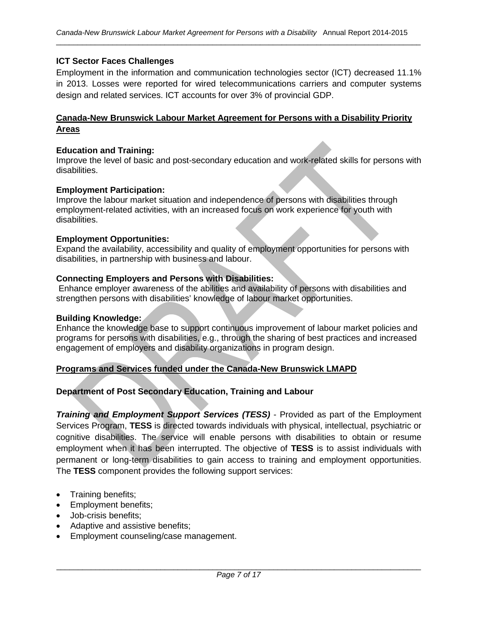## **ICT Sector Faces Challenges**

Employment in the information and communication technologies sector (ICT) decreased 11.1% in 2013. Losses were reported for wired telecommunications carriers and computer systems design and related services. ICT accounts for over 3% of provincial GDP.

## **Canada-New Brunswick Labour Market Agreement for Persons with a Disability Priority Areas**

#### **Education and Training:**

Improve the level of basic and post-secondary education and work-related skills for persons with disabilities.

#### **Employment Participation:**

Improve the labour market situation and independence of persons with disabilities through employment-related activities, with an increased focus on work experience for youth with disabilities.

#### **Employment Opportunities:**

Expand the availability, accessibility and quality of employment opportunities for persons with disabilities, in partnership with business and labour.

#### **Connecting Employers and Persons with Disabilities:**

Enhance employer awareness of the abilities and availability of persons with disabilities and strengthen persons with disabilities' knowledge of labour market opportunities.

#### **Building Knowledge:**

Enhance the knowledge base to support continuous improvement of labour market policies and programs for persons with disabilities, e.g., through the sharing of best practices and increased engagement of employers and disability organizations in program design.

#### **Programs and Services funded under the Canada-New Brunswick LMAPD**

#### **Department of Post Secondary Education, Training and Labour**

*Training and Employment Support Services (TESS)* - Provided as part of the Employment Services Program, **TESS** is directed towards individuals with physical, intellectual, psychiatric or cognitive disabilities. The service will enable persons with disabilities to obtain or resume employment when it has been interrupted. The objective of **TESS** is to assist individuals with permanent or long-term disabilities to gain access to training and employment opportunities. The **TESS** component provides the following support services:

- Training benefits;
- Employment benefits;
- Job-crisis benefits;
- Adaptive and assistive benefits;
- Employment counseling/case management.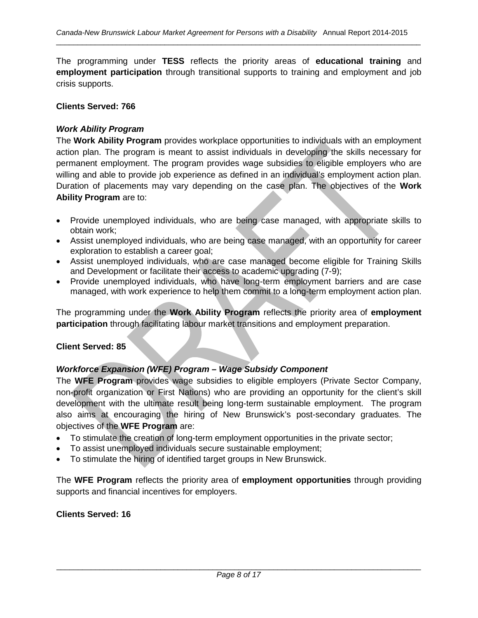The programming under **TESS** reflects the priority areas of **educational training** and **employment participation** through transitional supports to training and employment and job crisis supports.

#### **Clients Served: 766**

## *Work Ability Program*

The **Work Ability Program** provides workplace opportunities to individuals with an employment action plan. The program is meant to assist individuals in developing the skills necessary for permanent employment. The program provides wage subsidies to eligible employers who are willing and able to provide job experience as defined in an individual's employment action plan. Duration of placements may vary depending on the case plan. The objectives of the **Work Ability Program** are to:

- Provide unemployed individuals, who are being case managed, with appropriate skills to obtain work;
- Assist unemployed individuals, who are being case managed, with an opportunity for career exploration to establish a career goal;
- Assist unemployed individuals, who are case managed become eligible for Training Skills and Development or facilitate their access to academic upgrading (7-9);
- Provide unemployed individuals, who have long-term employment barriers and are case managed, with work experience to help them commit to a long-term employment action plan.

The programming under the **Work Ability Program** reflects the priority area of **employment participation** through facilitating labour market transitions and employment preparation.

## **Client Served: 85**

## *Workforce Expansion (WFE) Program – Wage Subsidy Component*

The **WFE Program** provides wage subsidies to eligible employers (Private Sector Company, non-profit organization or First Nations) who are providing an opportunity for the client's skill development with the ultimate result being long-term sustainable employment. The program also aims at encouraging the hiring of New Brunswick's post-secondary graduates. The objectives of the **WFE Program** are:

- To stimulate the creation of long-term employment opportunities in the private sector;
- To assist unemployed individuals secure sustainable employment;
- To stimulate the hiring of identified target groups in New Brunswick.

The **WFE Program** reflects the priority area of **employment opportunities** through providing supports and financial incentives for employers.

## **Clients Served: 16**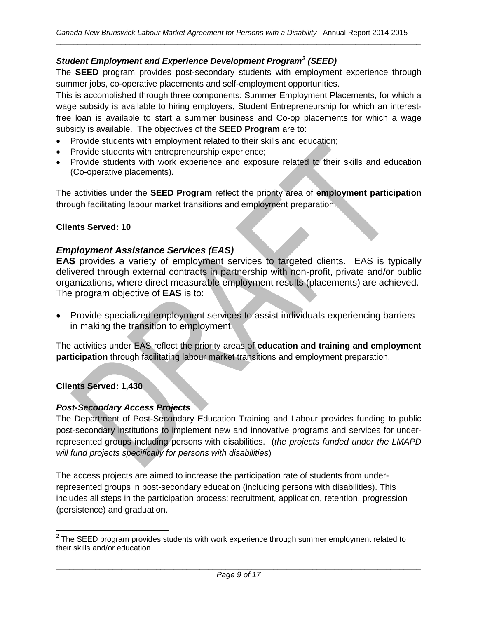# *Student Employment and Experience Development Program[2](#page-7-0) (SEED)*

The **SEED** program provides post-secondary students with employment experience through summer jobs, co-operative placements and self-employment opportunities.

This is accomplished through three components: Summer Employment Placements, for which a wage subsidy is available to hiring employers, Student Entrepreneurship for which an interestfree loan is available to start a summer business and Co-op placements for which a wage subsidy is available. The objectives of the **SEED Program** are to:

- Provide students with employment related to their skills and education;
- Provide students with entrepreneurship experience;
- Provide students with work experience and exposure related to their skills and education (Co-operative placements).

The activities under the **SEED Program** reflect the priority area of **employment participation** through facilitating labour market transitions and employment preparation.

## **Clients Served: 10**

## *Employment Assistance Services (EAS)*

**EAS** provides a variety of employment services to targeted clients. EAS is typically delivered through external contracts in partnership with non-profit, private and/or public organizations, where direct measurable employment results (placements) are achieved. The program objective of **EAS** is to:

• Provide specialized employment services to assist individuals experiencing barriers in making the transition to employment.

The activities under EAS reflect the priority areas of **education and training and employment participation** through facilitating labour market transitions and employment preparation.

**Clients Served: 1,430**

## *Post-Secondary Access Projects*

The Department of Post-Secondary Education Training and Labour provides funding to public post-secondary institutions to implement new and innovative programs and services for underrepresented groups including persons with disabilities. (*the projects funded under the LMAPD will fund projects specifically for persons with disabilities*)

The access projects are aimed to increase the participation rate of students from underrepresented groups in post-secondary education (including persons with disabilities). This includes all steps in the participation process: recruitment, application, retention, progression (persistence) and graduation.

<span id="page-7-0"></span> $2$  The SEED program provides students with work experience through summer employment related to their skills and/or education.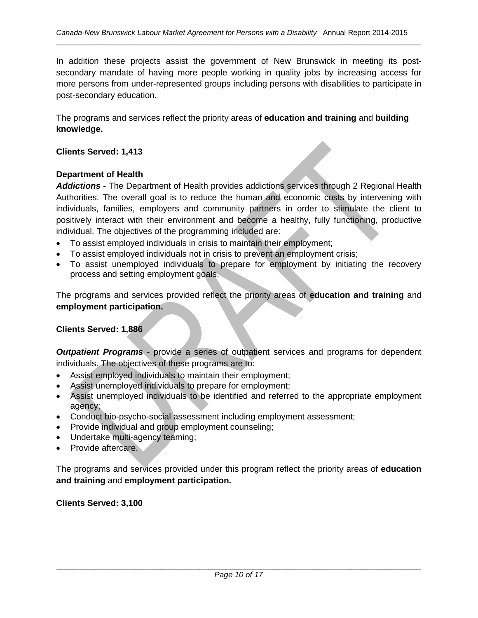In addition these projects assist the government of New Brunswick in meeting its postsecondary mandate of having more people working in quality jobs by increasing access for more persons from under-represented groups including persons with disabilities to participate in post-secondary education.

The programs and services reflect the priority areas of **education and training** and **building knowledge.**

#### **Clients Served: 1,413**

#### **Department of Health**

*Addictions -* The Department of Health provides addictions services through 2 Regional Health Authorities. The overall goal is to reduce the human and economic costs by intervening with individuals, families, employers and community partners in order to stimulate the client to positively interact with their environment and become a healthy, fully functioning, productive individual. The objectives of the programming included are:

- To assist employed individuals in crisis to maintain their employment;
- To assist employed individuals not in crisis to prevent an employment crisis;
- To assist unemployed individuals to prepare for employment by initiating the recovery process and setting employment goals.

The programs and services provided reflect the priority areas of **education and training** and **employment participation.**

#### **Clients Served: 1,886**

*Outpatient Programs* - provide a series of outpatient services and programs for dependent individuals. The objectives of these programs are to:

- Assist employed individuals to maintain their employment;
- Assist unemployed individuals to prepare for employment;
- Assist unemployed individuals to be identified and referred to the appropriate employment agency;
- Conduct bio-psycho-social assessment including employment assessment;
- Provide individual and group employment counseling;
- Undertake multi-agency teaming;
- Provide aftercare.

The programs and services provided under this program reflect the priority areas of **education and training** and **employment participation.**

**Clients Served: 3,100**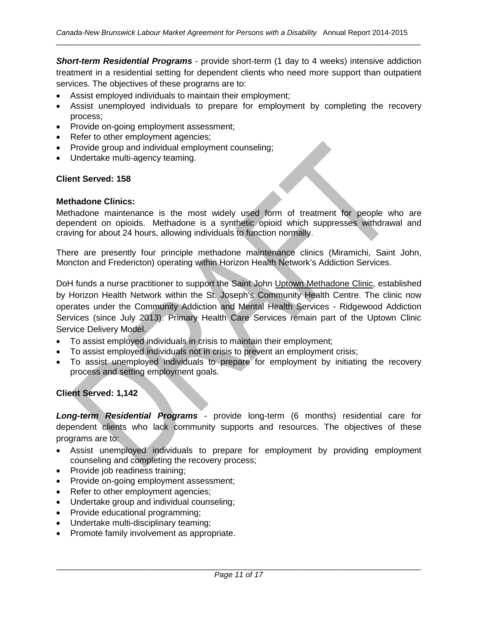*Short-term Residential Programs* - provide short-term (1 day to 4 weeks) intensive addiction treatment in a residential setting for dependent clients who need more support than outpatient services. The objectives of these programs are to:

- Assist employed individuals to maintain their employment;
- Assist unemployed individuals to prepare for employment by completing the recovery process;
- Provide on-going employment assessment;
- Refer to other employment agencies;
- Provide group and individual employment counseling;
- Undertake multi-agency teaming.

#### **Client Served: 158**

#### **Methadone Clinics:**

Methadone maintenance is the most widely used form of treatment for people who are dependent on opioids. Methadone is a synthetic opioid which suppresses withdrawal and craving for about 24 hours, allowing individuals to function normally.

There are presently four principle methadone maintenance clinics (Miramichi, Saint John, Moncton and Fredericton) operating within Horizon Health Network's Addiction Services.

DoH funds a nurse practitioner to support the Saint John Uptown Methadone Clinic, established by Horizon Health Network within the St. Joseph's Community Health Centre. The clinic now operates under the Community Addiction and Mental Health Services - Ridgewood Addiction Services (since July 2013). Primary Health Care Services remain part of the Uptown Clinic Service Delivery Model.

- To assist employed individuals in crisis to maintain their employment;
- To assist employed individuals not in crisis to prevent an employment crisis;
- To assist unemployed individuals to prepare for employment by initiating the recovery process and setting employment goals.

#### **Client Served: 1,142**

*Long-term Residential Programs* - provide long-term (6 months) residential care for dependent clients who lack community supports and resources. The objectives of these programs are to:

- Assist unemployed individuals to prepare for employment by providing employment counseling and completing the recovery process;
- Provide job readiness training;
- Provide on-going employment assessment;
- Refer to other employment agencies;
- Undertake group and individual counseling;
- Provide educational programming;
- Undertake multi-disciplinary teaming;
- Promote family involvement as appropriate.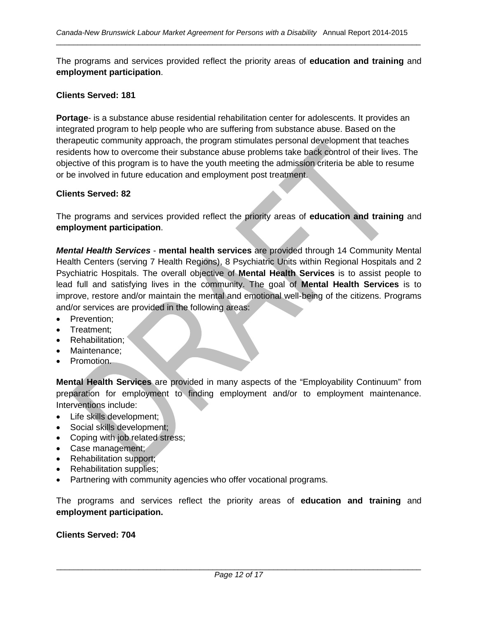The programs and services provided reflect the priority areas of **education and training** and **employment participation**.

#### **Clients Served: 181**

**Portage**- is a substance abuse residential rehabilitation center for adolescents. It provides an integrated program to help people who are suffering from substance abuse. Based on the therapeutic community approach, the program stimulates personal development that teaches residents how to overcome their substance abuse problems take back control of their lives. The objective of this program is to have the youth meeting the admission criteria be able to resume or be involved in future education and employment post treatment.

#### **Clients Served: 82**

The programs and services provided reflect the priority areas of **education and training** and **employment participation**.

*Mental Health Services* - **mental health services** are provided through 14 Community Mental Health Centers (serving 7 Health Regions), 8 Psychiatric Units within Regional Hospitals and 2 Psychiatric Hospitals. The overall objective of **Mental Health Services** is to assist people to lead full and satisfying lives in the community. The goal of **Mental Health Services** is to improve, restore and/or maintain the mental and emotional well-being of the citizens. Programs and/or services are provided in the following areas:

- Prevention;
- Treatment;
- Rehabilitation:
- Maintenance;
- Promotion.

**Mental Health Services** are provided in many aspects of the "Employability Continuum" from preparation for employment to finding employment and/or to employment maintenance. Interventions include:

- Life skills development;
- Social skills development;
- Coping with job related stress;
- Case management;
- Rehabilitation support;
- Rehabilitation supplies;
- Partnering with community agencies who offer vocational programs.

The programs and services reflect the priority areas of **education and training** and **employment participation.**

#### **Clients Served: 704**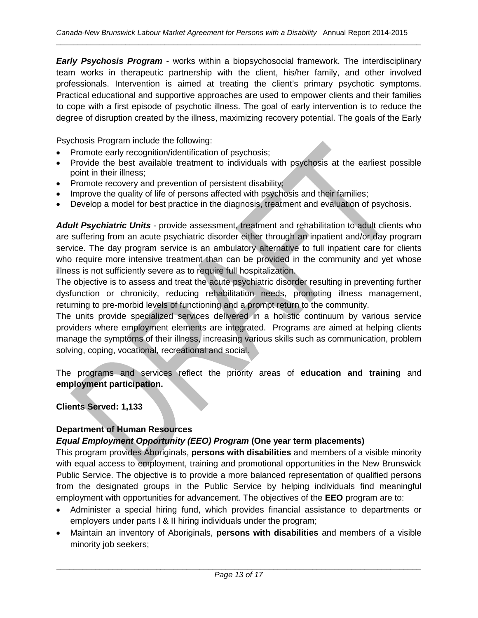*Early Psychosis Program* - works within a biopsychosocial framework. The interdisciplinary team works in therapeutic partnership with the client, his/her family, and other involved professionals. Intervention is aimed at treating the client's primary psychotic symptoms. Practical educational and supportive approaches are used to empower clients and their families to cope with a first episode of psychotic illness. The goal of early intervention is to reduce the degree of disruption created by the illness, maximizing recovery potential. The goals of the Early

Psychosis Program include the following:

- Promote early recognition/identification of psychosis;
- Provide the best available treatment to individuals with psychosis at the earliest possible point in their illness;
- Promote recovery and prevention of persistent disability;
- Improve the quality of life of persons affected with psychosis and their families;
- Develop a model for best practice in the diagnosis, treatment and evaluation of psychosis.

*Adult Psychiatric Units* - provide assessment, treatment and rehabilitation to adult clients who are suffering from an acute psychiatric disorder either through an inpatient and/or day program service. The day program service is an ambulatory alternative to full inpatient care for clients who require more intensive treatment than can be provided in the community and yet whose illness is not sufficiently severe as to require full hospitalization.

The objective is to assess and treat the acute psychiatric disorder resulting in preventing further dysfunction or chronicity, reducing rehabilitation needs, promoting illness management, returning to pre-morbid levels of functioning and a prompt return to the community.

The units provide specialized services delivered in a holistic continuum by various service providers where employment elements are integrated. Programs are aimed at helping clients manage the symptoms of their illness, increasing various skills such as communication, problem solving, coping, vocational, recreational and social.

The programs and services reflect the priority areas of **education and training** and **employment participation.**

**Clients Served: 1,133**

# **Department of Human Resources**

# *Equal Employment Opportunity (EEO) Program* **(One year term placements)**

This program provides Aboriginals, **persons with disabilities** and members of a visible minority with equal access to employment, training and promotional opportunities in the New Brunswick Public Service. The objective is to provide a more balanced representation of qualified persons from the designated groups in the Public Service by helping individuals find meaningful employment with opportunities for advancement. The objectives of the **EEO** program are to:

- Administer a special hiring fund, which provides financial assistance to departments or employers under parts I & II hiring individuals under the program;
- Maintain an inventory of Aboriginals, **persons with disabilities** and members of a visible minority job seekers;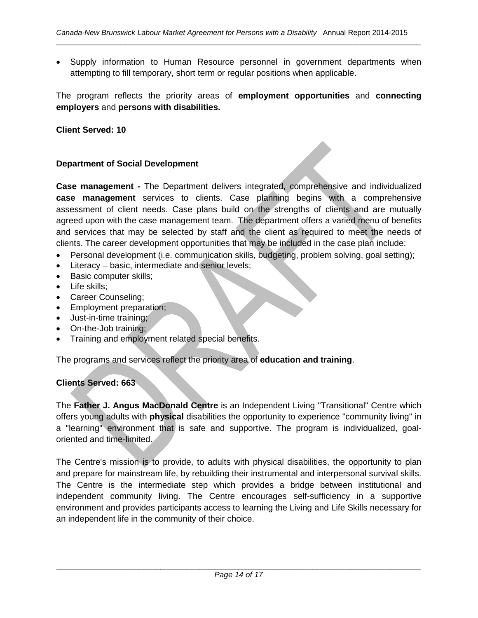• Supply information to Human Resource personnel in government departments when attempting to fill temporary, short term or regular positions when applicable.

The program reflects the priority areas of **employment opportunities** and **connecting employers** and **persons with disabilities.**

**Client Served: 10**

#### **Department of Social Development**

**Case management -** The Department delivers integrated, comprehensive and individualized **case management** services to clients. Case planning begins with a comprehensive assessment of client needs. Case plans build on the strengths of clients and are mutually agreed upon with the case management team. The department offers a varied menu of benefits and services that may be selected by staff and the client as required to meet the needs of clients. The career development opportunities that may be included in the case plan include:

- Personal development (i.e. communication skills, budgeting, problem solving, goal setting);
- Literacy basic, intermediate and senior levels;
- Basic computer skills;
- Life skills;
- Career Counseling;
- Employment preparation;
- Just-in-time training;
- On-the-Job training;
- Training and employment related special benefits.

The programs and services reflect the priority area of **education and training**.

## **Clients Served: 663**

The **Father J. Angus MacDonald Centre** is an Independent Living "Transitional" Centre which offers young adults with **physical** disabilities the opportunity to experience "community living" in a "learning" environment that is safe and supportive. The program is individualized, goaloriented and time-limited.

The Centre's mission is to provide, to adults with physical disabilities, the opportunity to plan and prepare for mainstream life, by rebuilding their instrumental and interpersonal survival skills. The Centre is the intermediate step which provides a bridge between institutional and independent community living. The Centre encourages self-sufficiency in a supportive environment and provides participants access to learning the Living and Life Skills necessary for an independent life in the community of their choice.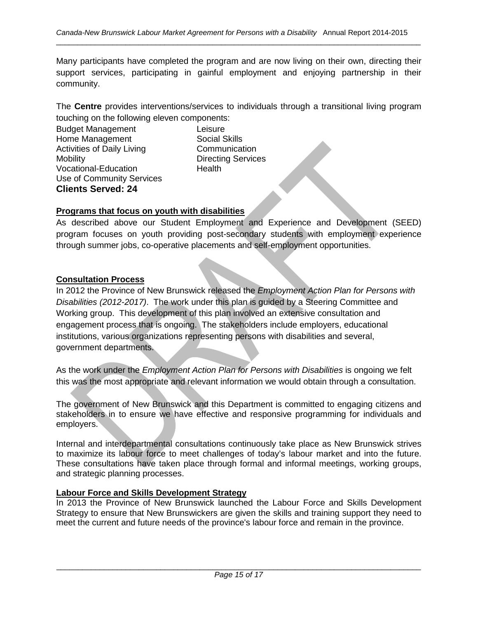Many participants have completed the program and are now living on their own, directing their support services, participating in gainful employment and enjoying partnership in their community.

The **Centre** provides interventions/services to individuals through a transitional living program touching on the following eleven components:

Budget Management Leisure Home Management Social Skills Activities of Daily Living Communication Mobility **Directing Services** Vocational-Education **Health** Use of Community Services **Clients Served: 24**

#### **Programs that focus on youth with disabilities**

As described above our Student Employment and Experience and Development (SEED) program focuses on youth providing post-secondary students with employment experience through summer jobs, co-operative placements and self-employment opportunities.

#### **Consultation Process**

In 2012 the Province of New Brunswick released the *Employment Action Plan for Persons with Disabilities (2012-2017)*. The work under this plan is guided by a Steering Committee and Working group. This development of this plan involved an extensive consultation and engagement process that is ongoing. The stakeholders include employers, educational institutions, various organizations representing persons with disabilities and several, government departments.

As the work under the *Employment Action Plan for Persons with Disabilities* is ongoing we felt this was the most appropriate and relevant information we would obtain through a consultation.

The government of New Brunswick and this Department is committed to engaging citizens and stakeholders in to ensure we have effective and responsive programming for individuals and employers.

Internal and interdepartmental consultations continuously take place as New Brunswick strives to maximize its labour force to meet challenges of today's labour market and into the future. These consultations have taken place through formal and informal meetings, working groups, and strategic planning processes.

#### **Labour Force and Skills Development Strategy**

In 2013 the Province of New Brunswick launched the Labour Force and Skills Development Strategy to ensure that New Brunswickers are given the skills and training support they need to meet the current and future needs of the province's labour force and remain in the province.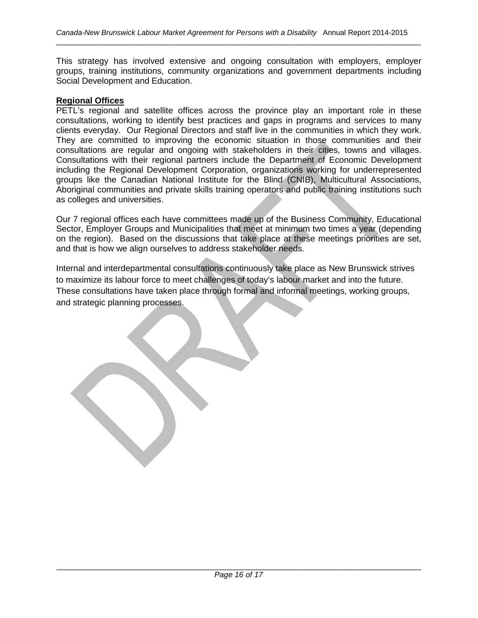This strategy has involved extensive and ongoing consultation with employers, employer groups, training institutions, community organizations and government departments including Social Development and Education.

#### **Regional Offices**

PETL's regional and satellite offices across the province play an important role in these consultations, working to identify best practices and gaps in programs and services to many clients everyday. Our Regional Directors and staff live in the communities in which they work. They are committed to improving the economic situation in those communities and their consultations are regular and ongoing with stakeholders in their cities, towns and villages. Consultations with their regional partners include the Department of Economic Development including the Regional Development Corporation, organizations working for underrepresented groups like the Canadian National Institute for the Blind (CNIB), Multicultural Associations, Aboriginal communities and private skills training operators and public training institutions such as colleges and universities.

Our 7 regional offices each have committees made up of the Business Community, Educational Sector, Employer Groups and Municipalities that meet at minimum two times a year (depending on the region). Based on the discussions that take place at these meetings priorities are set, and that is how we align ourselves to address stakeholder needs.

Internal and interdepartmental consultations continuously take place as New Brunswick strives to maximize its labour force to meet challenges of today's labour market and into the future. These consultations have taken place through formal and informal meetings, working groups, and strategic planning processes.